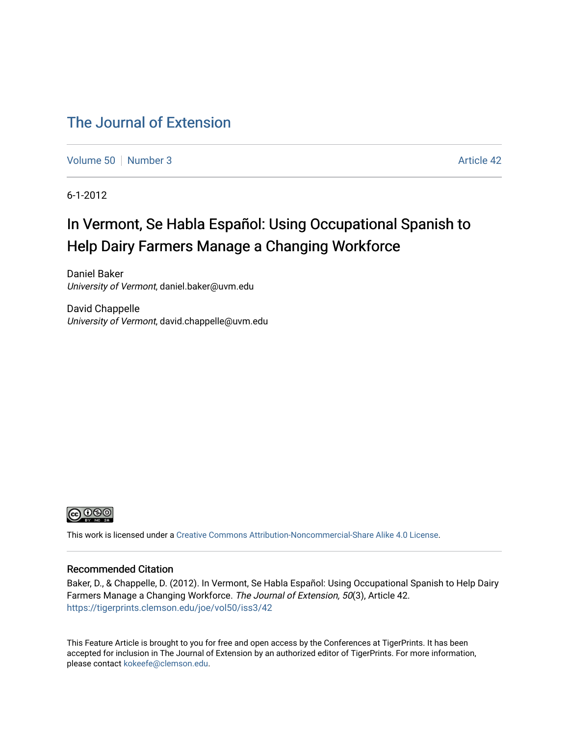# [The Journal of Extension](https://tigerprints.clemson.edu/joe)

[Volume 50](https://tigerprints.clemson.edu/joe/vol50) [Number 3](https://tigerprints.clemson.edu/joe/vol50/iss3) Article 42

6-1-2012

# In Vermont, Se Habla Español: Using Occupational Spanish to Help Dairy Farmers Manage a Changing Workforce

Daniel Baker University of Vermont, daniel.baker@uvm.edu

David Chappelle University of Vermont, david.chappelle@uvm.edu



This work is licensed under a [Creative Commons Attribution-Noncommercial-Share Alike 4.0 License.](https://creativecommons.org/licenses/by-nc-sa/4.0/)

#### Recommended Citation

Baker, D., & Chappelle, D. (2012). In Vermont, Se Habla Español: Using Occupational Spanish to Help Dairy Farmers Manage a Changing Workforce. The Journal of Extension, 50(3), Article 42. <https://tigerprints.clemson.edu/joe/vol50/iss3/42>

This Feature Article is brought to you for free and open access by the Conferences at TigerPrints. It has been accepted for inclusion in The Journal of Extension by an authorized editor of TigerPrints. For more information, please contact [kokeefe@clemson.edu](mailto:kokeefe@clemson.edu).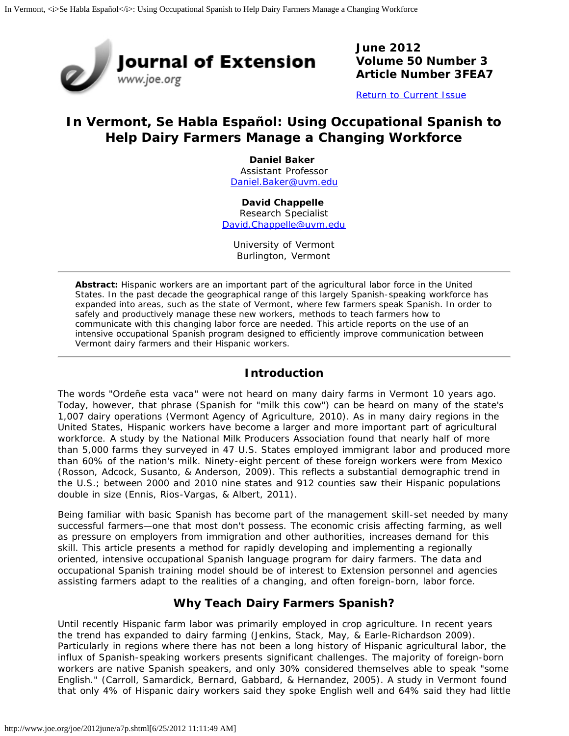

**June 2012 Volume 50 Number 3 Article Number 3FEA7**

[Return to Current Issue](http://www.joe.org/joe/2012june/)

# **In Vermont,** *Se Habla Español***: Using Occupational Spanish to Help Dairy Farmers Manage a Changing Workforce**

**Daniel Baker** Assistant Professor [Daniel.Baker@uvm.edu](mailto:Daniel.Baker@uvm.edu)

**David Chappelle**  Research Specialist [David.Chappelle@uvm.edu](mailto:David.Chappelle@uvm.edu)

University of Vermont Burlington, Vermont

*Abstract: Hispanic workers are an important part of the agricultural labor force in the United States. In the past decade the geographical range of this largely Spanish-speaking workforce has expanded into areas, such as the state of Vermont, where few farmers speak Spanish. In order to safely and productively manage these new workers, methods to teach farmers how to communicate with this changing labor force are needed. This article reports on the use of an intensive occupational Spanish program designed to efficiently improve communication between Vermont dairy farmers and their Hispanic workers.*

# **Introduction**

The words "*Ordeñe esta vaca*" were not heard on many dairy farms in Vermont 10 years ago. Today, however, that phrase (Spanish for "milk this cow") can be heard on many of the state's 1,007 dairy operations (Vermont Agency of Agriculture, 2010). As in many dairy regions in the United States, Hispanic workers have become a larger and more important part of agricultural workforce. A study by the National Milk Producers Association found that nearly half of more than 5,000 farms they surveyed in 47 U.S. States employed immigrant labor and produced more than 60% of the nation's milk. Ninety-eight percent of these foreign workers were from Mexico (Rosson, Adcock, Susanto, & Anderson, 2009). This reflects a substantial demographic trend in the U.S.; between 2000 and 2010 nine states and 912 counties saw their Hispanic populations double in size (Ennis, Rios-Vargas, & Albert, 2011).

Being familiar with basic Spanish has become part of the management skill-set needed by many successful farmers—one that most don't possess. The economic crisis affecting farming, as well as pressure on employers from immigration and other authorities, increases demand for this skill. This article presents a method for rapidly developing and implementing a regionally oriented, intensive occupational Spanish language program for dairy farmers. The data and occupational Spanish training model should be of interest to Extension personnel and agencies assisting farmers adapt to the realities of a changing, and often foreign-born, labor force.

# **Why Teach Dairy Farmers Spanish?**

Until recently Hispanic farm labor was primarily employed in crop agriculture. In recent years the trend has expanded to dairy farming (Jenkins, Stack, May, & Earle-Richardson 2009). Particularly in regions where there has not been a long history of Hispanic agricultural labor, the influx of Spanish-speaking workers presents significant challenges. The majority of foreign-born workers are native Spanish speakers, and only 30% considered themselves able to speak "some English." (Carroll, Samardick, Bernard, Gabbard, & Hernandez, 2005). A study in Vermont found that only 4% of Hispanic dairy workers said they spoke English well and 64% said they had little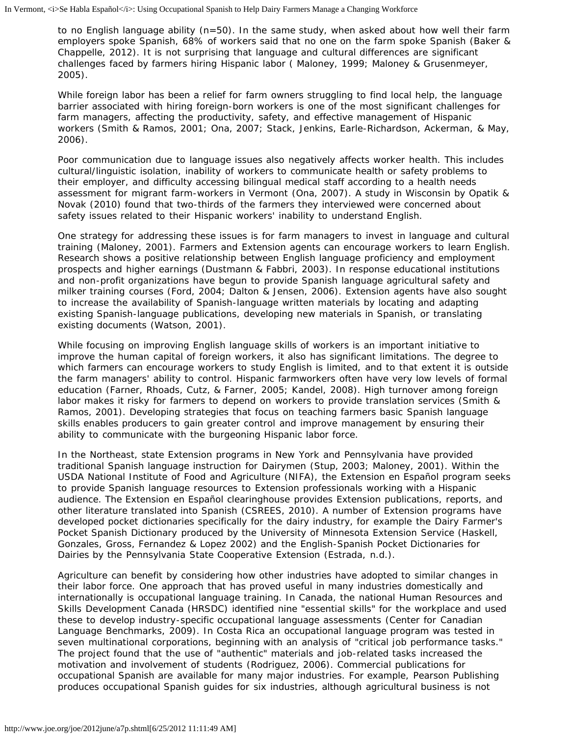to no English language ability (n=50). In the same study, when asked about how well their farm employers spoke Spanish, 68% of workers said that no one on the farm spoke Spanish (Baker & Chappelle, 2012). It is not surprising that language and cultural differences are significant challenges faced by farmers hiring Hispanic labor ( Maloney, 1999; Maloney & Grusenmeyer, 2005).

While foreign labor has been a relief for farm owners struggling to find local help, the language barrier associated with hiring foreign-born workers is one of the most significant challenges for farm managers, affecting the productivity, safety, and effective management of Hispanic workers (Smith & Ramos, 2001; Ona, 2007; Stack, Jenkins, Earle-Richardson, Ackerman, & May, 2006).

Poor communication due to language issues also negatively affects worker health. This includes cultural/linguistic isolation, inability of workers to communicate health or safety problems to their employer, and difficulty accessing bilingual medical staff according to a health needs assessment for migrant farm-workers in Vermont (Ona, 2007). A study in Wisconsin by Opatik & Novak (2010) found that two-thirds of the farmers they interviewed were concerned about safety issues related to their Hispanic workers' inability to understand English.

One strategy for addressing these issues is for farm managers to invest in language and cultural training (Maloney, 2001). Farmers and Extension agents can encourage workers to learn English. Research shows a positive relationship between English language proficiency and employment prospects and higher earnings (Dustmann & Fabbri, 2003). In response educational institutions and non-profit organizations have begun to provide Spanish language agricultural safety and milker training courses (Ford, 2004; Dalton & Jensen, 2006). Extension agents have also sought to increase the availability of Spanish-language written materials by locating and adapting existing Spanish-language publications, developing new materials in Spanish, or translating existing documents (Watson, 2001).

While focusing on improving English language skills of workers is an important initiative to improve the human capital of foreign workers, it also has significant limitations. The degree to which farmers can encourage workers to study English is limited, and to that extent it is outside the farm managers' ability to control. Hispanic farmworkers often have very low levels of formal education (Farner, Rhoads, Cutz, & Farner, 2005; Kandel, 2008). High turnover among foreign labor makes it risky for farmers to depend on workers to provide translation services (Smith & Ramos, 2001). Developing strategies that focus on teaching farmers basic Spanish language skills enables producers to gain greater control and improve management by ensuring their ability to communicate with the burgeoning Hispanic labor force.

In the Northeast, state Extension programs in New York and Pennsylvania have provided traditional Spanish language instruction for Dairymen (Stup, 2003; Maloney, 2001). Within the USDA National Institute of Food and Agriculture (NIFA), the Extension en Español program seeks to provide Spanish language resources to Extension professionals working with a Hispanic audience. The Extension en Español clearinghouse provides Extension publications, reports, and other literature translated into Spanish (CSREES, 2010). A number of Extension programs have developed pocket dictionaries specifically for the dairy industry, for example the *Dairy Farmer's Pocket Spanish Dictionary* produced by the University of Minnesota Extension Service (Haskell, Gonzales, Gross, Fernandez & Lopez 2002) and the *English-Spanish Pocket Dictionaries for Dairies* by the Pennsylvania State Cooperative Extension (Estrada, n.d.).

Agriculture can benefit by considering how other industries have adopted to similar changes in their labor force. One approach that has proved useful in many industries domestically and internationally is occupational language training. In Canada, the national Human Resources and Skills Development Canada (HRSDC) identified nine "essential skills" for the workplace and used these to develop industry-specific occupational language assessments (Center for Canadian Language Benchmarks, 2009). In Costa Rica an occupational language program was tested in seven multinational corporations, beginning with an analysis of "critical job performance tasks." The project found that the use of "authentic" materials and job-related tasks increased the motivation and involvement of students (Rodriguez, 2006). Commercial publications for occupational Spanish are available for many major industries. For example, Pearson Publishing produces occupational Spanish guides for six industries, although agricultural business is not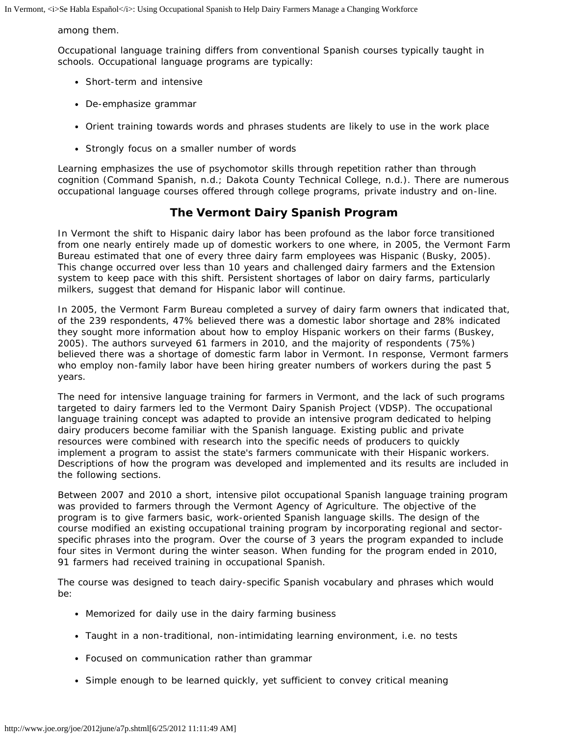#### among them.

Occupational language training differs from conventional Spanish courses typically taught in schools. Occupational language programs are typically:

- Short-term and intensive
- De-emphasize grammar
- Orient training towards words and phrases students are likely to use in the work place
- Strongly focus on a smaller number of words

Learning emphasizes the use of psychomotor skills through repetition rather than through cognition (Command Spanish, n.d.; Dakota County Technical College, n.d.). There are numerous occupational language courses offered through college programs, private industry and on-line.

## **The Vermont Dairy Spanish Program**

In Vermont the shift to Hispanic dairy labor has been profound as the labor force transitioned from one nearly entirely made up of domestic workers to one where, in 2005, the Vermont Farm Bureau estimated that one of every three dairy farm employees was Hispanic (Busky, 2005). This change occurred over less than 10 years and challenged dairy farmers and the Extension system to keep pace with this shift. Persistent shortages of labor on dairy farms, particularly milkers, suggest that demand for Hispanic labor will continue.

In 2005, the Vermont Farm Bureau completed a survey of dairy farm owners that indicated that, of the 239 respondents, 47% believed there was a domestic labor shortage and 28% indicated they sought more information about how to employ Hispanic workers on their farms (Buskey, 2005). The authors surveyed 61 farmers in 2010, and the majority of respondents (75%) believed there was a shortage of domestic farm labor in Vermont. In response, Vermont farmers who employ non-family labor have been hiring greater numbers of workers during the past 5 years.

The need for intensive language training for farmers in Vermont, and the lack of such programs targeted to dairy farmers led to the Vermont Dairy Spanish Project (VDSP). The occupational language training concept was adapted to provide an intensive program dedicated to helping dairy producers become familiar with the Spanish language. Existing public and private resources were combined with research into the specific needs of producers to quickly implement a program to assist the state's farmers communicate with their Hispanic workers. Descriptions of how the program was developed and implemented and its results are included in the following sections.

Between 2007 and 2010 a short, intensive pilot occupational Spanish language training program was provided to farmers through the Vermont Agency of Agriculture. The objective of the program is to give farmers basic, work-oriented Spanish language skills. The design of the course modified an existing occupational training program by incorporating regional and sectorspecific phrases into the program. Over the course of 3 years the program expanded to include four sites in Vermont during the winter season. When funding for the program ended in 2010, 91 farmers had received training in occupational Spanish.

The course was designed to teach dairy-specific Spanish vocabulary and phrases which would be:

- Memorized for daily use in the dairy farming business
- Taught in a non-traditional, non-intimidating learning environment, i.e. no tests
- Focused on communication rather than grammar
- Simple enough to be learned quickly, yet sufficient to convey critical meaning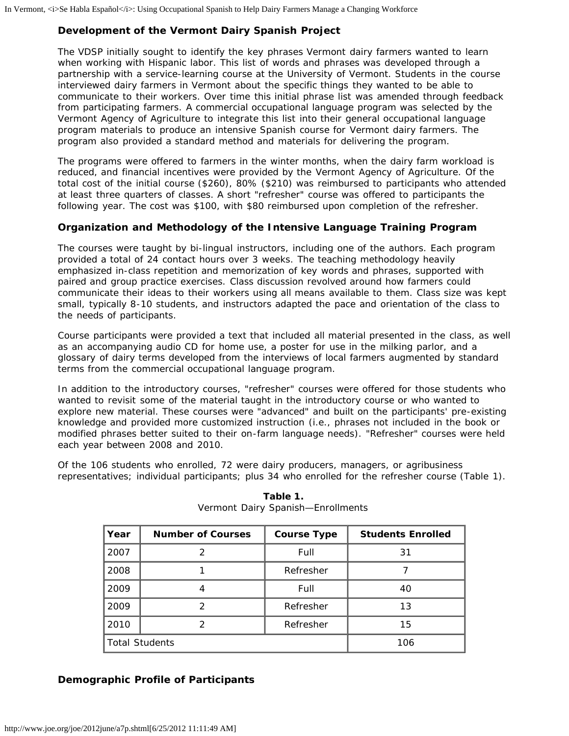## **Development of the Vermont Dairy Spanish Project**

The VDSP initially sought to identify the key phrases Vermont dairy farmers wanted to learn when working with Hispanic labor. This list of words and phrases was developed through a partnership with a service-learning course at the University of Vermont. Students in the course interviewed dairy farmers in Vermont about the specific things they wanted to be able to communicate to their workers. Over time this initial phrase list was amended through feedback from participating farmers. A commercial occupational language program was selected by the Vermont Agency of Agriculture to integrate this list into their general occupational language program materials to produce an intensive Spanish course for Vermont dairy farmers. The program also provided a standard method and materials for delivering the program.

The programs were offered to farmers in the winter months, when the dairy farm workload is reduced, and financial incentives were provided by the Vermont Agency of Agriculture. Of the total cost of the initial course (\$260), 80% (\$210) was reimbursed to participants who attended at least three quarters of classes. A short "refresher" course was offered to participants the following year. The cost was \$100, with \$80 reimbursed upon completion of the refresher.

#### **Organization and Methodology of the Intensive Language Training Program**

The courses were taught by bi-lingual instructors, including one of the authors. Each program provided a total of 24 contact hours over 3 weeks. The teaching methodology heavily emphasized in-class repetition and memorization of key words and phrases, supported with paired and group practice exercises. Class discussion revolved around how farmers could communicate their ideas to their workers using all means available to them. Class size was kept small, typically 8-10 students, and instructors adapted the pace and orientation of the class to the needs of participants.

Course participants were provided a text that included all material presented in the class, as well as an accompanying audio CD for home use, a poster for use in the milking parlor, and a glossary of dairy terms developed from the interviews of local farmers augmented by standard terms from the commercial occupational language program.

In addition to the introductory courses, "refresher" courses were offered for those students who wanted to revisit some of the material taught in the introductory course or who wanted to explore new material. These courses were "advanced" and built on the participants' pre-existing knowledge and provided more customized instruction (i.e., phrases not included in the book or modified phrases better suited to their on-farm language needs). "Refresher" courses were held each year between 2008 and 2010.

Of the 106 students who enrolled, 72 were dairy producers, managers, or agribusiness representatives; individual participants; plus 34 who enrolled for the refresher course (Table 1).

| Year                  | <b>Number of Courses</b> | <b>Course Type</b> | <b>Students Enrolled</b> |
|-----------------------|--------------------------|--------------------|--------------------------|
| 2007                  | っ                        | Full               | 31                       |
| 2008                  |                          | Refresher          |                          |
| 2009                  |                          | Full               | 40                       |
| 2009                  | 2                        | Refresher          | 13                       |
| 2010                  | 2                        | Refresher          | 15                       |
| <b>Total Students</b> |                          |                    | 106                      |

**Table 1.** Vermont Dairy Spanish—Enrollments

## **Demographic Profile of Participants**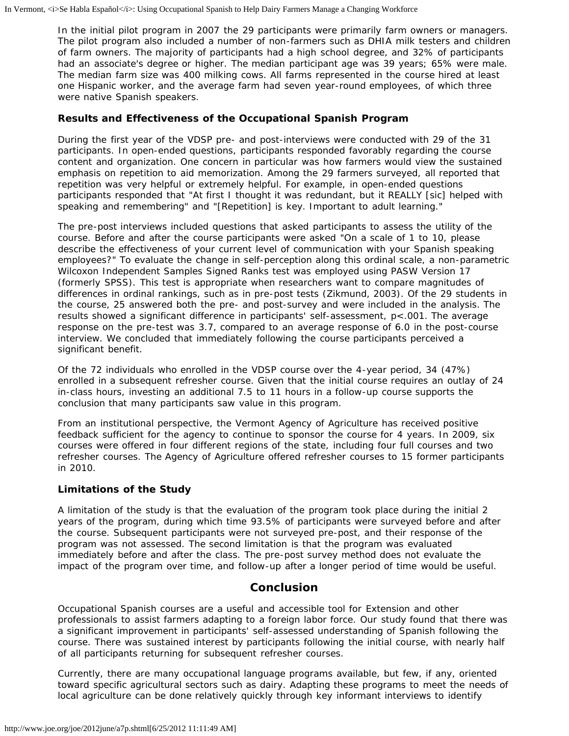In the initial pilot program in 2007 the 29 participants were primarily farm owners or managers. The pilot program also included a number of non-farmers such as DHIA milk testers and children of farm owners. The majority of participants had a high school degree, and 32% of participants had an associate's degree or higher. The median participant age was 39 years; 65% were male. The median farm size was 400 milking cows. All farms represented in the course hired at least one Hispanic worker, and the average farm had seven year-round employees, of which three were native Spanish speakers.

#### **Results and Effectiveness of the Occupational Spanish Program**

During the first year of the VDSP pre- and post-interviews were conducted with 29 of the 31 participants. In open-ended questions, participants responded favorably regarding the course content and organization. One concern in particular was how farmers would view the sustained emphasis on repetition to aid memorization. Among the 29 farmers surveyed, all reported that repetition was very helpful or extremely helpful. For example, in open-ended questions participants responded that "At first I thought it was redundant, but it REALLY [sic] helped with speaking and remembering" and "[Repetition] is key. Important to adult learning."

The pre-post interviews included questions that asked participants to assess the utility of the course. Before and after the course participants were asked "On a scale of 1 to 10, please describe the effectiveness of your current level of communication with your Spanish speaking employees?" To evaluate the change in self-perception along this ordinal scale, a non-parametric Wilcoxon Independent Samples Signed Ranks test was employed using PASW Version 17 (formerly SPSS). This test is appropriate when researchers want to compare magnitudes of differences in ordinal rankings, such as in pre-post tests (Zikmund, 2003). Of the 29 students in the course, 25 answered both the pre- and post-survey and were included in the analysis. The results showed a significant difference in participants' self-assessment, p<.001. The average response on the pre-test was 3.7, compared to an average response of 6.0 in the post-course interview. We concluded that immediately following the course participants perceived a significant benefit.

Of the 72 individuals who enrolled in the VDSP course over the 4-year period, 34 (47%) enrolled in a subsequent refresher course. Given that the initial course requires an outlay of 24 in-class hours, investing an additional 7.5 to 11 hours in a follow-up course supports the conclusion that many participants saw value in this program.

From an institutional perspective, the Vermont Agency of Agriculture has received positive feedback sufficient for the agency to continue to sponsor the course for 4 years. In 2009, six courses were offered in four different regions of the state, including four full courses and two refresher courses. The Agency of Agriculture offered refresher courses to 15 former participants in 2010.

#### **Limitations of the Study**

A limitation of the study is that the evaluation of the program took place during the initial 2 years of the program, during which time 93.5% of participants were surveyed before and after the course. Subsequent participants were not surveyed pre-post, and their response of the program was not assessed. The second limitation is that the program was evaluated immediately before and after the class. The pre-post survey method does not evaluate the impact of the program over time, and follow-up after a longer period of time would be useful.

## **Conclusion**

Occupational Spanish courses are a useful and accessible tool for Extension and other professionals to assist farmers adapting to a foreign labor force. Our study found that there was a significant improvement in participants' self-assessed understanding of Spanish following the course. There was sustained interest by participants following the initial course, with nearly half of all participants returning for subsequent refresher courses.

Currently, there are many occupational language programs available, but few, if any, oriented toward specific agricultural sectors such as dairy. Adapting these programs to meet the needs of local agriculture can be done relatively quickly through key informant interviews to identify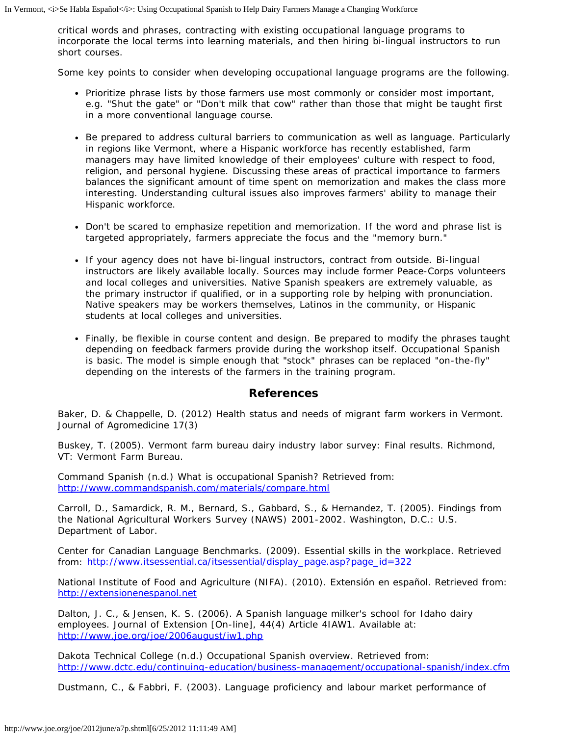critical words and phrases, contracting with existing occupational language programs to incorporate the local terms into learning materials, and then hiring bi-lingual instructors to run short courses.

Some key points to consider when developing occupational language programs are the following.

- Prioritize phrase lists by those farmers use most commonly or consider most important, e.g. "Shut the gate" or "Don't milk that cow" rather than those that might be taught first in a more conventional language course.
- Be prepared to address cultural barriers to communication as well as language. Particularly in regions like Vermont, where a Hispanic workforce has recently established, farm managers may have limited knowledge of their employees' culture with respect to food, religion, and personal hygiene. Discussing these areas of practical importance to farmers balances the significant amount of time spent on memorization and makes the class more interesting. Understanding cultural issues also improves farmers' ability to manage their Hispanic workforce.
- Don't be scared to emphasize repetition and memorization. If the word and phrase list is targeted appropriately, farmers appreciate the focus and the "memory burn."
- If your agency does not have bi-lingual instructors, contract from outside. Bi-lingual instructors are likely available locally. Sources may include former Peace-Corps volunteers and local colleges and universities. Native Spanish speakers are extremely valuable, as the primary instructor if qualified, or in a supporting role by helping with pronunciation. Native speakers may be workers themselves, Latinos in the community, or Hispanic students at local colleges and universities.
- Finally, be flexible in course content and design. Be prepared to modify the phrases taught depending on feedback farmers provide during the workshop itself. Occupational Spanish is basic. The model is simple enough that "stock" phrases can be replaced "on-the-fly" depending on the interests of the farmers in the training program.

## **References**

Baker, D. & Chappelle, D. (2012) Health status and needs of migrant farm workers in Vermont. *Journal of Agromedicine* 17(3)

Buskey, T. (2005). *Vermont farm bureau dairy industry labor survey: Final results*. Richmond, VT: Vermont Farm Bureau.

Command Spanish (n.d.) *What is occupational Spanish?* Retrieved from: <http://www.commandspanish.com/materials/compare.html>

Carroll, D., Samardick, R. M., Bernard, S., Gabbard, S., & Hernandez, T. (2005). *Findings from the National Agricultural Workers Survey (NAWS) 2001-2002*. Washington, D.C.: U.S. Department of Labor.

Center for Canadian Language Benchmarks. (2009). *Essential skills in the workplace*. Retrieved from: [http://www.itsessential.ca/itsessential/display\\_page.asp?page\\_id=322](http://www.itsessential.ca/itsessential/display_page.asp?page_id=322)

National Institute of Food and Agriculture (NIFA). (2010). *Extensión en español.* Retrieved from: [http://extensionenespanol.net](http://extensionenespanol.net/)

Dalton, J. C., & Jensen, K. S. (2006). A Spanish language milker's school for Idaho dairy employees. *Journal of Extension* [On-line], 44(4) Article 4IAW1. Available at: <http://www.joe.org/joe/2006august/iw1.php>

Dakota Technical College (n.d.) *Occupational Spanish overview*. Retrieved from: <http://www.dctc.edu/continuing-education/business-management/occupational-spanish/index.cfm>

Dustmann, C., & Fabbri, F. (2003). Language proficiency and labour market performance of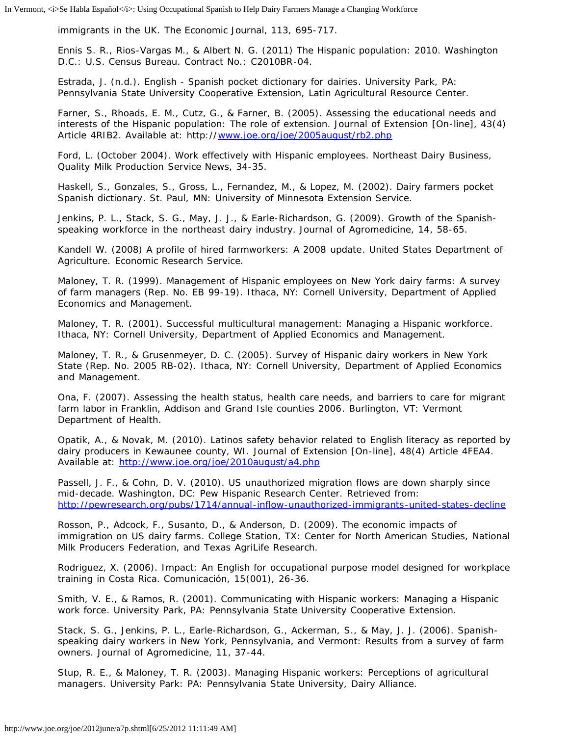immigrants in the UK. *The Economic Journal,* 113, 695-717.

Ennis S. R., Rios-Vargas M., & Albert N. G. (2011) *The Hispanic population*: 2010. Washington D.C.: U.S. Census Bureau. Contract No.: C2010BR-04.

Estrada, J. (n.d.). *English - Spanish pocket dictionary for dairies*. University Park, PA: Pennsylvania State University Cooperative Extension, Latin Agricultural Resource Center.

Farner, S., Rhoads, E. M., Cutz, G., & Farner, B. (2005). Assessing the educational needs and interests of the Hispanic population: The role of extension. *Journal of Extension* [On-line], 43(4) Article 4RIB2. Available at: http://[www.joe.org/joe/2005august/rb2.php](http://www.joe.org/joe/2005august/rb2.php)

Ford, L. (October 2004). Work effectively with Hispanic employees. *Northeast Dairy Business, Quality Milk Production Service News,* 34-35.

Haskell, S., Gonzales, S., Gross, L., Fernandez, M., & Lopez, M. (2002). *Dairy farmers pocket Spanish dictionary*. St. Paul, MN: University of Minnesota Extension Service.

Jenkins, P. L., Stack, S. G., May, J. J., & Earle-Richardson, G. (2009). Growth of the Spanishspeaking workforce in the northeast dairy industry. *Journal of Agromedicine, 14*, 58-65.

Kandell W. (2008) *A profile of hired farmworkers: A 2008 update*. United States Department of Agriculture. Economic Research Service.

Maloney, T. R. (1999). *Management of Hispanic employees on New York dairy farms: A survey of farm managers* (Rep. No. EB 99-19). Ithaca, NY: Cornell University, Department of Applied Economics and Management.

Maloney, T. R. (2001). *Successful multicultural management: Managing a Hispanic workforce*. Ithaca, NY: Cornell University, Department of Applied Economics and Management.

Maloney, T. R., & Grusenmeyer, D. C. (2005). *Survey of Hispanic dairy workers in New York State* (Rep. No. 2005 RB-02). Ithaca, NY: Cornell University, Department of Applied Economics and Management.

Ona, F. (2007). *Assessing the health status, health care needs, and barriers to care for migrant farm labor in Franklin, Addison and Grand Isle counties 2006*. Burlington, VT: Vermont Department of Health.

Opatik, A., & Novak, M. (2010). Latinos safety behavior related to English literacy as reported by dairy producers in Kewaunee county, WI. *Journal of Extension* [On-line], 48(4) Article 4FEA4. Available at: <http://www.joe.org/joe/2010august/a4.php>

Passell, J. F., & Cohn, D. V. (2010). US unauthorized migration flows are down sharply since mid-decade. Washington, DC: Pew Hispanic Research Center. Retrieved from: <http://pewresearch.org/pubs/1714/annual-inflow-unauthorized-immigrants-united-states-decline>

Rosson, P., Adcock, F., Susanto, D., & Anderson, D. (2009). *The economic impacts of immigration on US dairy farms*. College Station, TX: Center for North American Studies, National Milk Producers Federation, and Texas AgriLife Research.

Rodriguez, X. (2006). Impact: An English for occupational purpose model designed for workplace training in Costa Rica. *Comunicación, 15*(001), 26-36.

Smith, V. E., & Ramos, R. (2001). *Communicating with Hispanic workers: Managing a Hispanic work force*. University Park, PA: Pennsylvania State University Cooperative Extension.

Stack, S. G., Jenkins, P. L., Earle-Richardson, G., Ackerman, S., & May, J. J. (2006). Spanishspeaking dairy workers in New York, Pennsylvania, and Vermont: Results from a survey of farm owners. *Journal of Agromedicine, 11*, 37-44.

Stup, R. E., & Maloney, T. R. (2003). *Managing Hispanic workers: Perceptions of agricultural managers.* University Park: PA: Pennsylvania State University, Dairy Alliance.